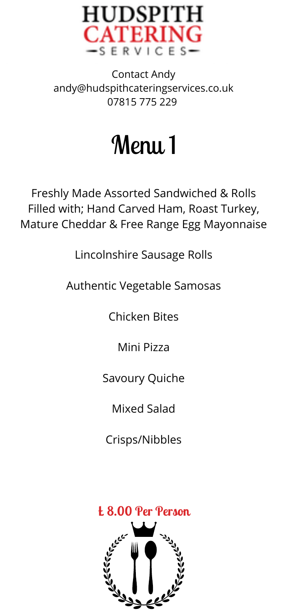

Contact Andy andy@hudspithcateringservices.co.uk 07815 775 229

Menu 1

Freshly Made Assorted Sandwiched & Rolls Filled with; Hand Carved Ham, Roast Turkey, Mature Cheddar & Free Range Egg Mayonnaise

Lincolnshire Sausage Rolls

Authentic Vegetable Samosas

Chicken Bites

Mini Pizza

Savoury Quiche

Mixed Salad

Crisps/Nibbles

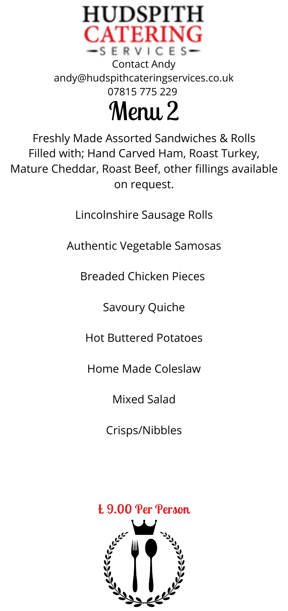

Freshly Made Assorted Sandwiches & Rolls Filled with; Hand Carved Ham, Roast Turkey, Mature Cheddar, Roast Beef, other fillings available on request.

Lincolnshire Sausage Rolls

Authentic Vegetable Samosas

Breaded Chicken Pieces

Savoury Quiche

Hot Buttered Potatoes

Home Made Coleslaw

Mixed Salad

Crisps/Nibbles

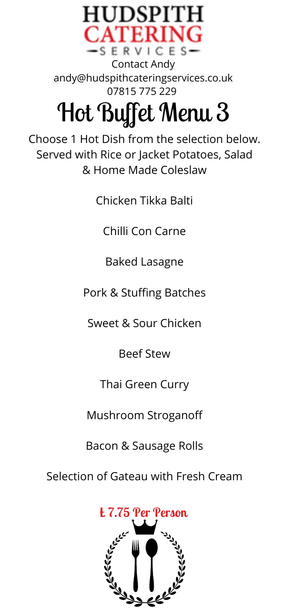

& Home Made Coleslaw

Chicken Tikka Balti

Chilli Con Carne

Baked Lasagne

Pork & Stuffing Batches

Sweet & Sour Chicken

Beef Stew

Thai Green Curry

Mushroom Stroganoff

Bacon & Sausage Rolls

Selection of Gateau with Fresh Cream

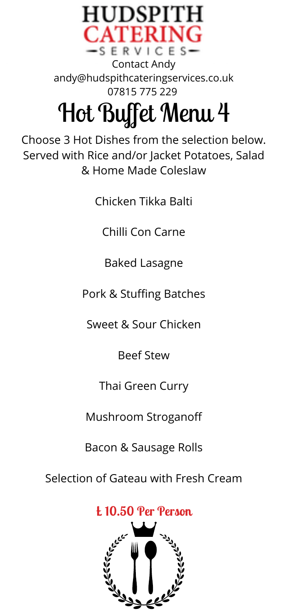

Chicken Tikka Balti

Chilli Con Carne

Baked Lasagne

Pork & Stuffing Batches

Sweet & Sour Chicken

Beef Stew

Thai Green Curry

Mushroom Stroganoff

Bacon & Sausage Rolls

Selection ofGateau with Fresh Cream

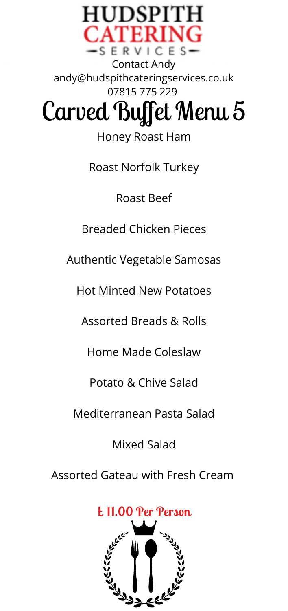